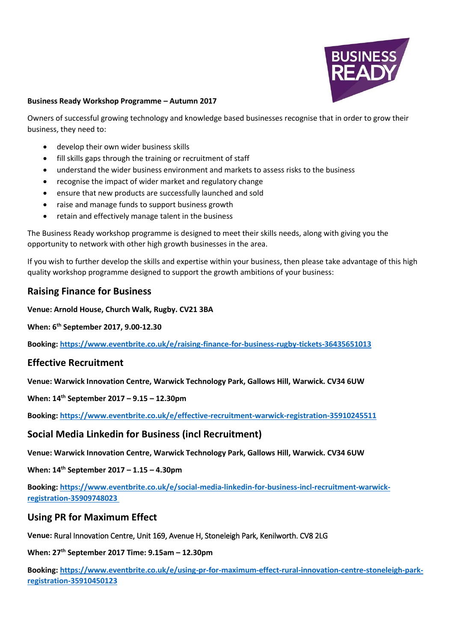

#### **Business Ready Workshop Programme – Autumn 2017**

Owners of successful growing technology and knowledge based businesses recognise that in order to grow their business, they need to:

- develop their own wider business skills
- fill skills gaps through the training or recruitment of staff
- understand the wider business environment and markets to assess risks to the business
- recognise the impact of wider market and regulatory change
- ensure that new products are successfully launched and sold
- raise and manage funds to support business growth
- retain and effectively manage talent in the business

The Business Ready workshop programme is designed to meet their skills needs, along with giving you the opportunity to network with other high growth businesses in the area.

If you wish to further develop the skills and expertise within your business, then please take advantage of this high quality workshop programme designed to support the growth ambitions of your business:

#### **Raising Finance for Business**

**Venue: Arnold House, Church Walk, Rugby. CV21 3BA** 

**When: 6th September 2017, 9.00-12.30**

**Booking: <https://www.eventbrite.co.uk/e/raising-finance-for-business-rugby-tickets-36435651013>**

### **Effective Recruitment**

**Venue: Warwick Innovation Centre, Warwick Technology Park, Gallows Hill, Warwick. CV34 6UW**

**When: 14th September 2017 – 9.15 – 12.30pm**

**Booking: <https://www.eventbrite.co.uk/e/effective-recruitment-warwick-registration-35910245511>**

#### **Social Media Linkedin for Business (incl Recruitment)**

**Venue: Warwick Innovation Centre, Warwick Technology Park, Gallows Hill, Warwick. CV34 6UW**

**When: 14th September 2017 – 1.15 – 4.30pm**

**Booking: [https://www.eventbrite.co.uk/e/social-media-linkedin-for-business-incl-recruitment-warwick](https://www.eventbrite.co.uk/e/social-media-linkedin-for-business-incl-recruitment-warwick-registration-35909748023 )[registration-35909748023](https://www.eventbrite.co.uk/e/social-media-linkedin-for-business-incl-recruitment-warwick-registration-35909748023 )**

#### **Using PR for Maximum Effect**

**Venue:** Rural Innovation Centre, Unit 169, Avenue H, Stoneleigh Park, Kenilworth. CV8 2LG

**When: 27th September 2017 Time: 9.15am – 12.30pm**

**Booking: [https://www.eventbrite.co.uk/e/using-pr-for-maximum-effect-rural-innovation-centre-stoneleigh-park](https://www.eventbrite.co.uk/e/using-pr-for-maximum-effect-rural-innovation-centre-stoneleigh-park-registration-35910450123)[registration-35910450123](https://www.eventbrite.co.uk/e/using-pr-for-maximum-effect-rural-innovation-centre-stoneleigh-park-registration-35910450123)**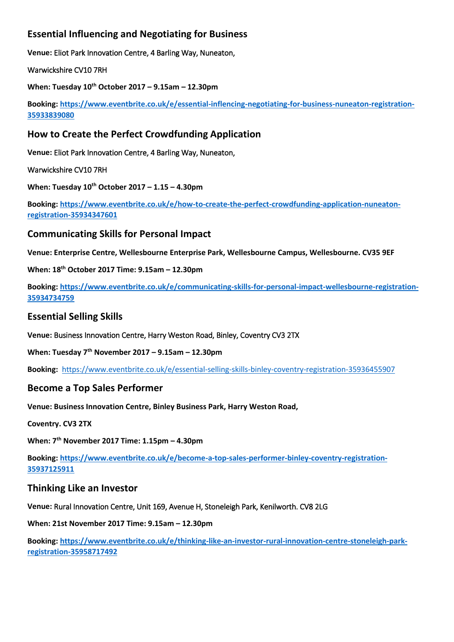# **Essential Influencing and Negotiating for Business**

**Venue:** Eliot Park Innovation Centre, 4 Barling Way, Nuneaton,

Warwickshire CV10 7RH

**When: Tuesday 10th October 2017 – 9.15am – 12.30pm**

**Booking: [https://www.eventbrite.co.uk/e/essential-inflencing-negotiating-for-business-nuneaton-registration-](https://www.eventbrite.co.uk/e/essential-inflencing-negotiating-for-business-nuneaton-registration-35933839080)[35933839080](https://www.eventbrite.co.uk/e/essential-inflencing-negotiating-for-business-nuneaton-registration-35933839080)**

### **How to Create the Perfect Crowdfunding Application**

**Venue:** Eliot Park Innovation Centre, 4 Barling Way, Nuneaton,

Warwickshire CV10 7RH

**When: Tuesday 10th October 2017 – 1.15 – 4.30pm**

**Booking: [https://www.eventbrite.co.uk/e/how-to-create-the-perfect-crowdfunding-application-nuneaton](https://www.eventbrite.co.uk/e/how-to-create-the-perfect-crowdfunding-application-nuneaton-registration-35934347601)[registration-35934347601](https://www.eventbrite.co.uk/e/how-to-create-the-perfect-crowdfunding-application-nuneaton-registration-35934347601)**

### **Communicating Skills for Personal Impact**

**Venue: Enterprise Centre, Wellesbourne Enterprise Park, Wellesbourne Campus, Wellesbourne. CV35 9EF**

**When: 18th October 2017 Time: 9.15am – 12.30pm**

**Booking: [https://www.eventbrite.co.uk/e/communicating-skills-for-personal-impact-wellesbourne-registration-](https://www.eventbrite.co.uk/e/communicating-skills-for-personal-impact-wellesbourne-registration-35934734759)[35934734759](https://www.eventbrite.co.uk/e/communicating-skills-for-personal-impact-wellesbourne-registration-35934734759)**

#### **Essential Selling Skills**

**Venue:** Business Innovation Centre, Harry Weston Road, Binley, Coventry CV3 2TX

**When: Tuesday 7th November 2017 – 9.15am – 12.30pm**

**Booking:** <https://www.eventbrite.co.uk/e/essential-selling-skills-binley-coventry-registration-35936455907>

### **Become a Top Sales Performer**

**Venue: Business Innovation Centre, Binley Business Park, Harry Weston Road,**

**Coventry. CV3 2TX**

**When: 7th November 2017 Time: 1.15pm – 4.30pm**

**Booking: [https://www.eventbrite.co.uk/e/become-a-top-sales-performer-binley-coventry-registration-](https://www.eventbrite.co.uk/e/become-a-top-sales-performer-binley-coventry-registration-35937125911)[35937125911](https://www.eventbrite.co.uk/e/become-a-top-sales-performer-binley-coventry-registration-35937125911)**

# **Thinking Like an Investor**

**Venue:** Rural Innovation Centre, Unit 169, Avenue H, Stoneleigh Park, Kenilworth. CV8 2LG

**When: 21st November 2017 Time: 9.15am – 12.30pm**

**Booking: [https://www.eventbrite.co.uk/e/thinking-like-an-investor-rural-innovation-centre-stoneleigh-park](https://www.eventbrite.co.uk/e/thinking-like-an-investor-rural-innovation-centre-stoneleigh-park-registration-35958717492)[registration-35958717492](https://www.eventbrite.co.uk/e/thinking-like-an-investor-rural-innovation-centre-stoneleigh-park-registration-35958717492)**